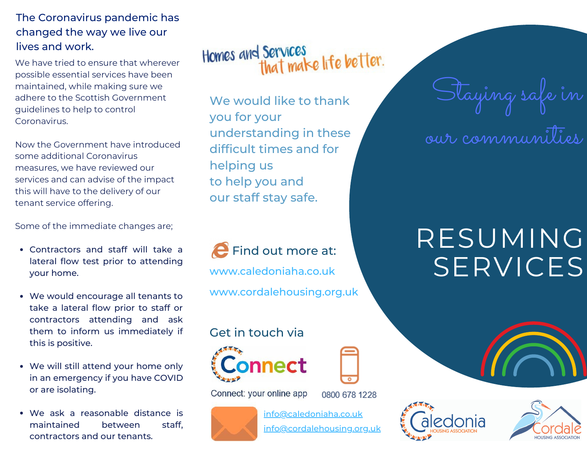#### The Coronavirus pandemic has changed the way we live our lives and work.

We have tried to ensure that wherever possible essential services have been maintained, while making sure we adhere to the Scottish Government guidelines to help to control Coronavirus.

Now the Government have introduced some additional Coronavirus measures, we have reviewed our services and can advise of the impact this will have to the delivery of our tenant service offering.

Some of the immediate changes are;

- Contractors and staff will take a lateral flow test prior to attending your home.
- We would encourage all tenants to take a lateral flow prior to staff or contractors attending and ask them to inform us immediately if this is positive.
- We will still attend your home only in an emergency if you have COVID or are isolating.
- We ask a reasonable distance is maintained between staff, contractors and our tenants.

Homes and Services<br>that make life better.

We would like to thank you for your understanding in these difficult times and for helping us to help you and our staff stay safe.

**P** Find out more at: www.caledoniaha.co.uk www.cordalehousing.org.uk

## Get in touch via



Connect: your online app

0800 678 1228



info@caledoniaha.co.uk info@cordalehousing.org.uk

# Staying safe in

our communities

## RESUMING SERVICES